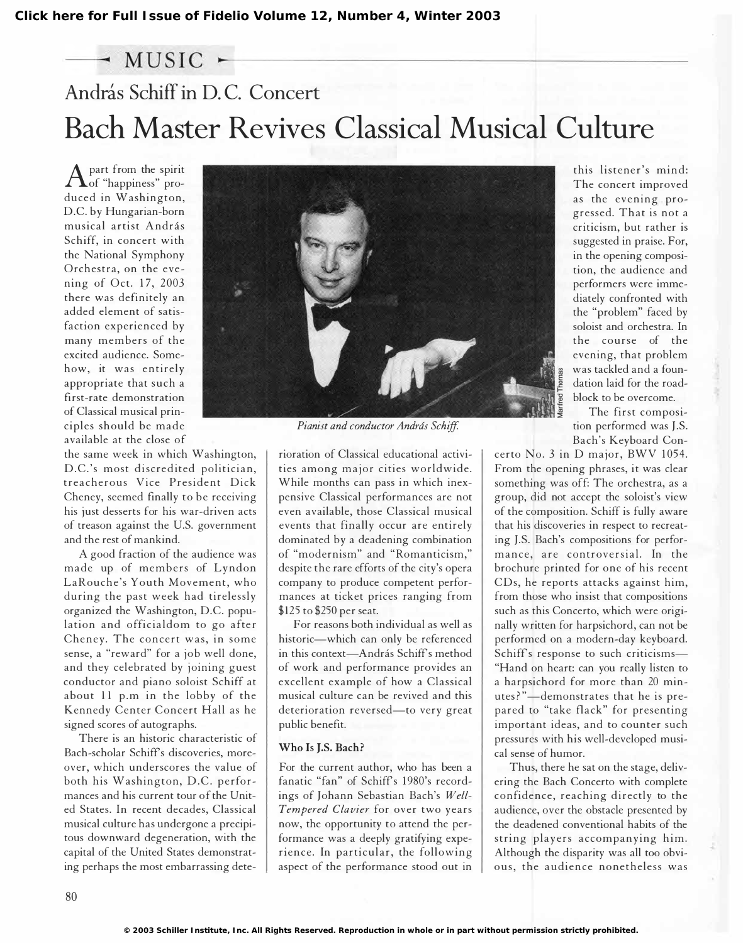## $-$  MUSIC  $-$ András Schiff in D.C. Concert. Bach Master Revives Classical Musical Culture

A part from the spirit<br>of "happiness" proof "happiness" produced in Washington, D.C. by Hungarian-born musical artist András Schiff, in concert with the National Symphony Orchestra, on the evening of Oct. 17, 2003 there was definitely an added element of satisfaction experienced by many members of the excited audience. Somehow, it was entirely appropriate that such a first-rate demonstration of Classical musical principles should be made available at the close of

the same week in which Washington, D.C.'s most discredited politician. treacherous Vice President Dick Cheney, seemed finally to be receiving his just desserts for his war-driven acts of treason against the U.S. government and the rest of mankind.

A good fraction of the audience was made up of members of Lyndon LaRouche's Youth Movement, who during the past week had tirelessly organized the Washington, D.C. population and officialdom to go after Cheney. The concert was, in some sense, a "reward" for a job well done, and they celebrated by joining guest conductor and piano soloist Schiff at about 11 p.m in the lobby of the Kennedy Center Concert Hall as he signed scores of autographs.

There is an historic characteristic of Bach-scholar Schiffs discoveries, moreover, which underscores the value of both his Washington, D.C. performances and his current tour of the United States. In recent decades, Classical musical culture has undergone a precipitous downward degeneration, with the capital of the United States demonstrating perhaps the most embarrassing dete-



Pianist and conductor András Schiff.

rioration of Classical educational activities among major cities worldwide. While months can pass in which inexpensive Classical performances are not even available, those Classical musical events that finally occur are entirely dominated by a deadening combination of "modernism" and " Romanticism," despite the rare efforts of the city's opera company to produce competent performances at ticket prices ranging from \$125 to \$250 per seat.

For reasons both individual as well as historic-which can only be referenced in this context-András Schiff's method of work and performance provides an excellent example of how a Classical musical culture can be revived and this deterioration reversed-to very great public benefit.

## Who Is I.S. Bach?

For the current author, who has been a fanatic "fan" of Schiff's 1980's recordings of Johann Sebastian Bach's Well-Tempered Clavier for over two years now, the opportunity to attend the performance was a deeply gratifying experience. In particular, the following aspect of the performance stood out in this listener's mind: The concert improved as the evening progressed. That is not a criticism, but rather is suggested in praise. For, in the opening composition, the audience and performers were immediately confronted with the "problem" faced by soloist and orchestra. In the course of the evening, that problem was tackled and a foundation laid for the roadblock to be overcome.

The first composition performed was J.S. Bach's Keyboard Con-

certo No. 3 in D major, BWV 1054. From the opening phrases, it was clear something was off: The orchestra, as a group, did not accept the soloist's view of the composition. Schiff is fully aware that his discoveries in respect to recreating J.S. Bach's compositions for performance, are controversial. In the brochure printed for one of his recent CDs, he reports attacks against him, from those who insist that compositions such as this Concerto, which were originally written for harpsichord, can not be performed on a modern-day keyboard. Schiff's response to such criticisms-"Hand on heart: can you really listen to a harpsichord for more than 20 minutes?"-demonstrates that he is prepared to "take flack" for presenting important ideas, and to counter such pressures with his well-developed musical sense of humor.

Thus, there he sat on the stage, delivering the Bach Concerto with complete confidence, reaching directly to the audience, over the obstacle presented by the deadened conventional habits of the string players accompanying him. Although the disparity was all too obvious, the audience nonetheless was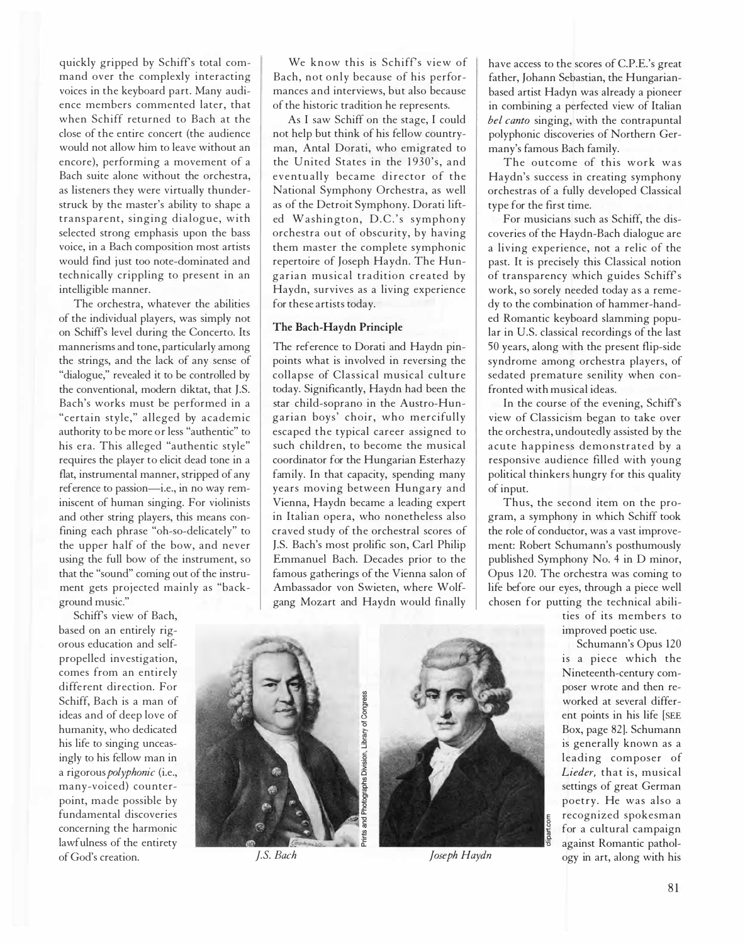quickly gripped by Schiffs total command over the complexly interacting voices in the keyboard part. Many audience members commented later, that when Schiff returned to Bach at the close of the entire concert (the audience would not allow him to leave without an encore), performing a movement of a Bach suite alone without the orchestra, as listeners they were virtually thunderstruck by the master's ability to shape a transparent, singing dialogue, with selected strong emphasis upon the bass voice, in a Bach composition most artists would find just too note-dominated and technically crippling to present in an intelligible manner.

The orchestra, whatever the abilities of the individual players, was simply not on Schiffs level during the Concerto. Its mannerisms and tone, particularly among the strings, and the lack of any sense of "dialogue," revealed it to be controlled by the conventional, modern diktat, that J.S. Bach's works must be performed in a "certain style," alleged by academic authority to be more or less "authentic" to his era. This alleged "authentic style" requires the player to elicit dead tone in a flat, instrumental manner, stripped of any reference to passion-i.e., in no way reminiscent of human singing. For violinists and other string players, this means confining each phrase "oh-so-delicately" to the upper half of the bow, and never using the full bow of the instrument, so that the "sound" coming out of the instrument gets projected mainly as "background music."

Schiffs view of Bach, based on an entirely rigorous education and selfpropelled investigation, comes from an entirely diffe rent direction. For Schiff, Bach is a man of ideas and of deep love of humanity, who dedicated his life to singing unceasingly to his fellow man in a rigorous polyphonic (i.e., many-voiced) counterpoint, made possible by fundamental discoveries concerning the harmonic lawfulness of the entirety of God's creation.

We know this is Schiff's view of Bach, not only because of his performances and interviews, but also because of the historic tradition he represents.

As I saw Schiff on the stage, I could not help but think of his fellow countryman, Antal Dorati, who emigrated to the United States in the 1930's, and eventually became director of the National Symphony Orchestra, as well as of the Detroit Symphony. Dorati lifted Washington, D.C.'s symphony orchestra out of obscurity, by having them master the complete symphonic repertoire of Joseph Haydn. The Hungarian musical tradition created by Haydn, survives as a living experience for these artists today.

## The Bach-Haydn Principle

The reference to Dorati and Haydn pinpoints what is involved in reversing the collapse of Classical musical culture today. Significantly, Haydn had been the star child-soprano in the Austro-Hungarian boys' choir, who mercifully escaped the typical career assigned to such children, to become the musical coordinator for the Hungarian Esterhazy family. In that capacity, spending many years moving between Hungary and Vienna, Haydn became a leading expert in Italian opera, who nonetheless also craved study of the orchestral scores of J.S. Bach's most prolific son, Carl Philip Emmanuel Bach. Decades prior to the famous gatherings of the Vienna salon of Ambassador von Swieten, where Wolfgang Mozart and Haydn would finally

have access to the scores of C.P.E.'s great father, Johann Sebastian, the Hungarianbased artist Hadyn was already a pioneer in combining a perfected view of Italian bel canto singing, with the contrapuntal polyphonic discoveries of Northern Germany's famous Bach family.

The outcome of this work was Haydn's success in creating symphony orchestras of a fully developed Classical type for the first time.

For musicians such as Schiff, the discoveries of the Haydn-Bach dialogue are a living experience, not a relic of the past. It is precisely this Classical notion of transparency which guides Schiffs work, so sorely needed today as a remedy to the combination of hammer-handed Romantic keyboard slamming popular in U.S. classical recordings of the last 50 years, along with the present flip-side syndrome among orchestra players, of sedated premature senility when confronted with musical ideas.

In the course of the evening, Schiff's view of Classicism began to take over the orchestra, undoutedly assisted by the acute happiness demonstrated by a responsive audience filled with young political thinkers hungry for this quality of input.

Thus, the second item on the program, a symphony in which Schiff took the role of conductor, was a vast improvement: Robert Schumann's posthumously published Symphony No. 4 in D minor, Opus 120. The orchestra was coming to life before our eyes, through a piece well chosen for putting the technical abili-

> ties of its members to improved poetic use.

Schumann's Opus 120 is a piece which the Nineteenth-century composer wrote and then reworked at several different points in his life [SEE Box, page 82]. Schumann is generally known as a leading composer of Lieder, that is, musical settings of great German poetry. He was also a recognized spokesman for a cultural campaign against Romantic pathol-IS. Bach Joseph Haydn ogy in art, along with his

8



Photographs Division, Library of Congress